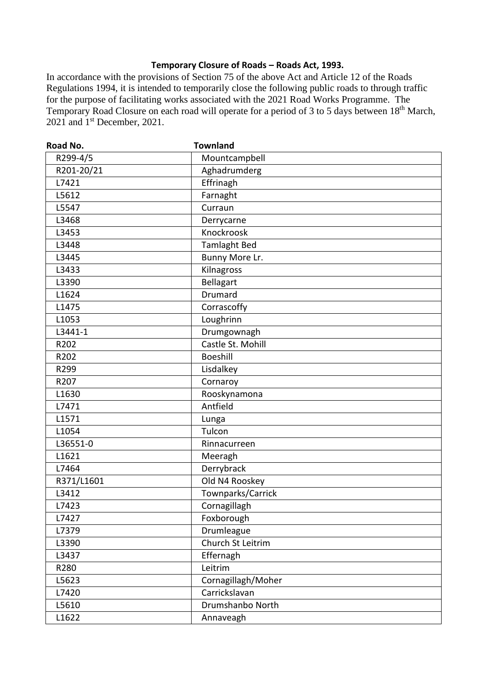## **Temporary Closure of Roads – Roads Act, 1993.**

In accordance with the provisions of Section 75 of the above Act and Article 12 of the Roads Regulations 1994, it is intended to temporarily close the following public roads to through traffic for the purpose of facilitating works associated with the 2021 Road Works Programme. The Temporary Road Closure on each road will operate for a period of 3 to 5 days between 18<sup>th</sup> March, 2021 and 1<sup>st</sup> December, 2021.

| Road No.   | <b>Townland</b>     |
|------------|---------------------|
| R299-4/5   | Mountcampbell       |
| R201-20/21 | Aghadrumderg        |
| L7421      | Effrinagh           |
| L5612      | Farnaght            |
| L5547      | Curraun             |
| L3468      | Derrycarne          |
| L3453      | Knockroosk          |
| L3448      | <b>Tamlaght Bed</b> |
| L3445      | Bunny More Lr.      |
| L3433      | Kilnagross          |
| L3390      | Bellagart           |
| L1624      | Drumard             |
| L1475      | Corrascoffy         |
| L1053      | Loughrinn           |
| L3441-1    | Drumgownagh         |
| R202       | Castle St. Mohill   |
| R202       | <b>Boeshill</b>     |
| R299       | Lisdalkey           |
| R207       | Cornaroy            |
| L1630      | Rooskynamona        |
| L7471      | Antfield            |
| L1571      | Lunga               |
| L1054      | Tulcon              |
| L36551-0   | Rinnacurreen        |
| L1621      | Meeragh             |
| L7464      | Derrybrack          |
| R371/L1601 | Old N4 Rooskey      |
| L3412      | Townparks/Carrick   |
| L7423      | Cornagillagh        |
| L7427      | Foxborough          |
| L7379      | Drumleague          |
| L3390      | Church St Leitrim   |
| L3437      | Effernagh           |
| R280       | Leitrim             |
| L5623      | Cornagillagh/Moher  |
| L7420      | Carrickslavan       |
| L5610      | Drumshanbo North    |
| L1622      | Annaveagh           |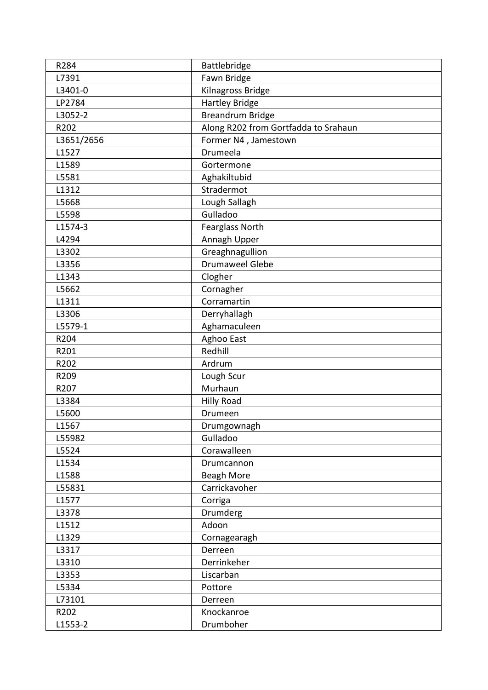| R284       | Battlebridge                         |
|------------|--------------------------------------|
| L7391      | Fawn Bridge                          |
| L3401-0    | Kilnagross Bridge                    |
| LP2784     | <b>Hartley Bridge</b>                |
| L3052-2    | <b>Breandrum Bridge</b>              |
| R202       | Along R202 from Gortfadda to Srahaun |
| L3651/2656 | Former N4, Jamestown                 |
| L1527      | Drumeela                             |
| L1589      | Gortermone                           |
| L5581      | Aghakiltubid                         |
| L1312      | Stradermot                           |
| L5668      | Lough Sallagh                        |
| L5598      | Gulladoo                             |
| L1574-3    | <b>Fearglass North</b>               |
| L4294      | Annagh Upper                         |
| L3302      | Greaghnagullion                      |
| L3356      | <b>Drumaweel Glebe</b>               |
| L1343      | Clogher                              |
| L5662      | Cornagher                            |
| L1311      | Corramartin                          |
| L3306      | Derryhallagh                         |
| L5579-1    | Aghamaculeen                         |
| R204       | Aghoo East                           |
| R201       | Redhill                              |
| R202       | Ardrum                               |
| R209       | Lough Scur                           |
| R207       | Murhaun                              |
| L3384      | <b>Hilly Road</b>                    |
| L5600      | Drumeen                              |
| L1567      | Drumgownagh                          |
| L55982     | Gulladoo                             |
| L5524      | Corawalleen                          |
| L1534      | Drumcannon                           |
| L1588      | Beagh More                           |
| L55831     | Carrickavoher                        |
| L1577      | Corriga                              |
| L3378      | Drumderg                             |
| L1512      | Adoon                                |
| L1329      | Cornagearagh                         |
| L3317      | Derreen                              |
| L3310      | Derrinkeher                          |
| L3353      | Liscarban                            |
| L5334      | Pottore                              |
| L73101     | Derreen                              |
| R202       | Knockanroe                           |
| L1553-2    | Drumboher                            |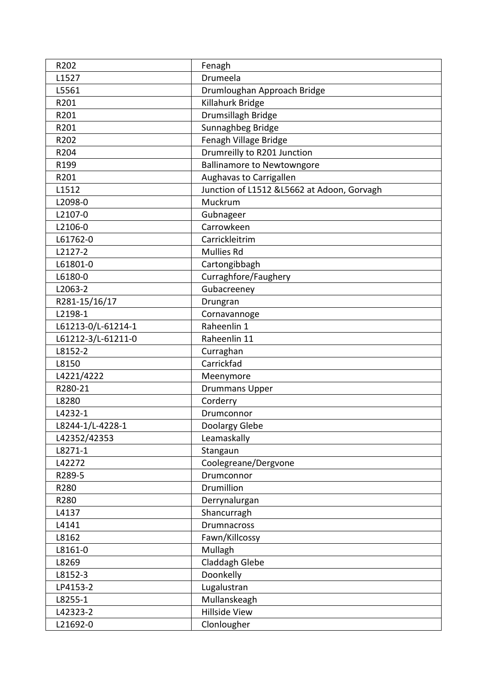| R202               | Fenagh                                     |
|--------------------|--------------------------------------------|
| L1527              | Drumeela                                   |
| L5561              | Drumloughan Approach Bridge                |
| R201               | Killahurk Bridge                           |
| R201               | Drumsillagh Bridge                         |
| R201               | Sunnaghbeg Bridge                          |
| R202               | Fenagh Village Bridge                      |
| R204               | Drumreilly to R201 Junction                |
| R199               | <b>Ballinamore to Newtowngore</b>          |
| R201               | Aughavas to Carrigallen                    |
| L1512              | Junction of L1512 &L5662 at Adoon, Gorvagh |
| L2098-0            | Muckrum                                    |
| L2107-0            | Gubnageer                                  |
| L2106-0            | Carrowkeen                                 |
| L61762-0           | Carrickleitrim                             |
| L2127-2            | <b>Mullies Rd</b>                          |
| L61801-0           | Cartongibbagh                              |
| L6180-0            | Curraghfore/Faughery                       |
| L2063-2            | Gubacreeney                                |
| R281-15/16/17      | Drungran                                   |
| L2198-1            | Cornavannoge                               |
| L61213-0/L-61214-1 | Raheenlin 1                                |
| L61212-3/L-61211-0 | Raheenlin 11                               |
| L8152-2            | Curraghan                                  |
| L8150              | Carrickfad                                 |
| L4221/4222         | Meenymore                                  |
| R280-21            | <b>Drummans Upper</b>                      |
| L8280              | Corderry                                   |
| L4232-1            | Drumconnor                                 |
| L8244-1/L-4228-1   | Doolargy Glebe                             |
| L42352/42353       | Leamaskally                                |
| L8271-1            | Stangaun                                   |
| L42272             | Coolegreane/Dergvone                       |
| R289-5             | Drumconnor                                 |
| R280               | Drumillion                                 |
| R280               | Derrynalurgan                              |
| L4137              | Shancurragh                                |
| L4141              | <b>Drumnacross</b>                         |
| L8162              | Fawn/Killcossy                             |
| L8161-0            | Mullagh                                    |
| L8269              | Claddagh Glebe                             |
| L8152-3            | Doonkelly                                  |
| LP4153-2           | Lugalustran                                |
| L8255-1            | Mullanskeagh                               |
| L42323-2           |                                            |
|                    | <b>Hillside View</b>                       |